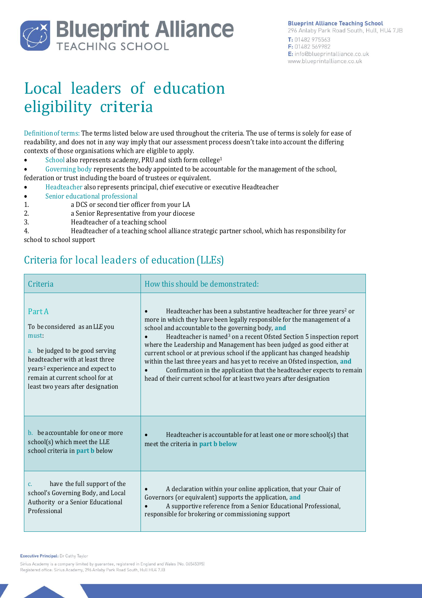

# Local leaders of education eligibility criteria

Definitionof terms: The terms listed below are used throughout the criteria. The use of terms is solely for ease of readability, and does not in any way imply that our assessment process doesn't take into account the differing contexts of those organisations which are eligible to apply.

- School also represents academy, PRU and sixth form college<sup>1</sup>
- Governing body represents the body appointed to be accountable for the management of the school,

federation or trust including the board of trustees or equivalent.

- Headteacher also represents principal, chief executive or executive Headteacher
- Senior educational professional
- 1. a DCS or second tier officer from your LA
- 2. **a Senior Representative from your diocese**<br>3. **Headteacher of a teaching school**
- Headteacher of a teaching school

4. Headteacher of a teaching school alliance strategic partner school, which has responsibility for school to school support

## Criteria for local leaders of education (LLEs)

| Criteria                                                                                                                                                                                                                                       | How this should be demonstrated:                                                                                                                                                                                                                                                                                                                                                                                                                                                                                                                                                                                                                                                              |
|------------------------------------------------------------------------------------------------------------------------------------------------------------------------------------------------------------------------------------------------|-----------------------------------------------------------------------------------------------------------------------------------------------------------------------------------------------------------------------------------------------------------------------------------------------------------------------------------------------------------------------------------------------------------------------------------------------------------------------------------------------------------------------------------------------------------------------------------------------------------------------------------------------------------------------------------------------|
| Part A<br>To be considered as an LLE you<br>must:<br>a. be judged to be good serving<br>headteacher with at least three<br>years <sup>2</sup> experience and expect to<br>remain at current school for at<br>least two years after designation | Headteacher has been a substantive headteacher for three years <sup>2</sup> or<br>more in which they have been legally responsible for the management of a<br>school and accountable to the governing body, and<br>Headteacher is named <sup>3</sup> on a recent Ofsted Section 5 inspection report<br>where the Leadership and Management has been judged as good either at<br>current school or at previous school if the applicant has changed headship<br>within the last three years and has yet to receive an Ofsted inspection, and<br>Confirmation in the application that the headteacher expects to remain<br>head of their current school for at least two years after designation |
| b. be accountable for one or more<br>school(s) which meet the LLE<br>school criteria in part b below                                                                                                                                           | Headteacher is accountable for at least one or more school(s) that<br>$\bullet$<br>meet the criteria in <b>part b below</b>                                                                                                                                                                                                                                                                                                                                                                                                                                                                                                                                                                   |
| have the full support of the<br>$C_{r}$<br>school's Governing Body, and Local<br>Authority or a Senior Educational<br>Professional                                                                                                             | A declaration within your online application, that your Chair of<br>Governors (or equivalent) supports the application, and<br>A supportive reference from a Senior Educational Professional,<br>responsible for brokering or commissioning support                                                                                                                                                                                                                                                                                                                                                                                                                                           |

Executive Principal: Dr Cathy Taylor

Sirius Academy is a company limited by guarantee, registered in England and Wales (No. 06545395) Registered office: Sirius Academy, 296 Anlaby Park Road South, Hull HU4 7JB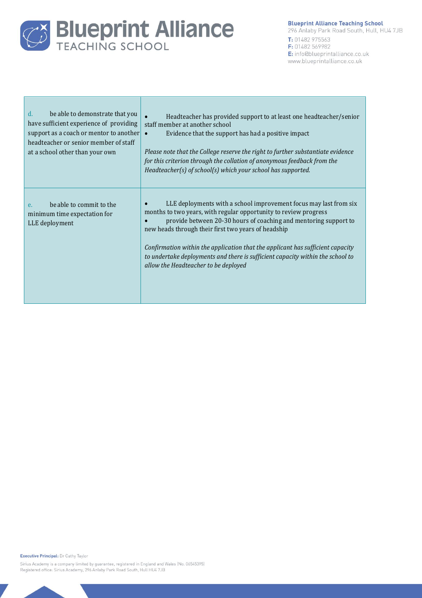

#### **Blueprint Alliance Teaching School**

296 Anlaby Park Road South, Hull, HU4 7JB T: 01482 975563 F: 01482 569982 E: info@blueprintalliance.co.uk www.blueprintalliance.co.uk

| be able to demonstrate that you<br>$d_{\cdot}$<br>have sufficient experience of providing<br>support as a coach or mentor to another<br>headteacher or senior member of staff<br>at a school other than your own | Headteacher has provided support to at least one headteacher/senior<br>staff member at another school<br>Evidence that the support has had a positive impact<br>$\bullet$<br>Please note that the College reserve the right to further substantiate evidence<br>for this criterion through the collation of anonymous feedback from the<br>Headteacher(s) of school(s) which your school has supported.                                                                      |
|------------------------------------------------------------------------------------------------------------------------------------------------------------------------------------------------------------------|------------------------------------------------------------------------------------------------------------------------------------------------------------------------------------------------------------------------------------------------------------------------------------------------------------------------------------------------------------------------------------------------------------------------------------------------------------------------------|
| be able to commit to the<br>e.<br>minimum time expectation for<br>LLE deployment                                                                                                                                 | LLE deployments with a school improvement focus may last from six<br>months to two years, with regular opportunity to review progress<br>provide between 20-30 hours of coaching and mentoring support to<br>new heads through their first two years of headship<br>Confirmation within the application that the applicant has sufficient capacity<br>to undertake deployments and there is sufficient capacity within the school to<br>allow the Headteacher to be deployed |

Executive Principal: Dr Cathy Taylor

Sirius Academy is a company limited by guarantee, registered in England and Wales (No. 06545395) Registered office: Sirius Academy, 296 Anlaby Park Road South, Hull HU4 7JB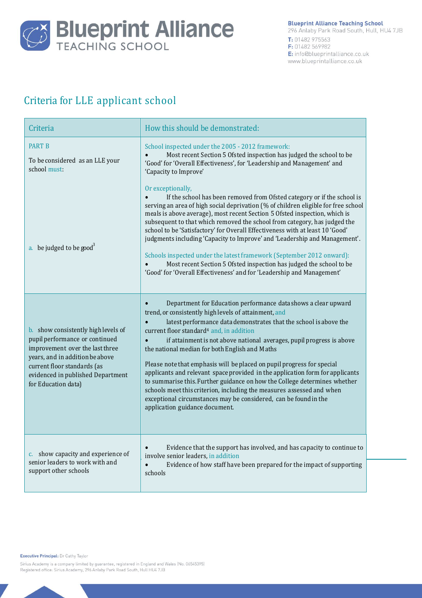

# Criteria for LLE applicant school

| Criteria                                                                                                                                                                                                                               | How this should be demonstrated:                                                                                                                                                                                                                                                                                                                                                                                                                                                                                                                                                                                                                                                                                                                                                                       |
|----------------------------------------------------------------------------------------------------------------------------------------------------------------------------------------------------------------------------------------|--------------------------------------------------------------------------------------------------------------------------------------------------------------------------------------------------------------------------------------------------------------------------------------------------------------------------------------------------------------------------------------------------------------------------------------------------------------------------------------------------------------------------------------------------------------------------------------------------------------------------------------------------------------------------------------------------------------------------------------------------------------------------------------------------------|
| <b>PART B</b><br>To be considered as an LLE your<br>school must:                                                                                                                                                                       | School inspected under the 2005 - 2012 framework:<br>Most recent Section 5 Ofsted inspection has judged the school to be<br>'Good' for 'Overall Effectiveness', for 'Leadership and Management' and<br>'Capacity to Improve'                                                                                                                                                                                                                                                                                                                                                                                                                                                                                                                                                                           |
| a. be judged to be good <sup>3</sup>                                                                                                                                                                                                   | Or exceptionally,<br>If the school has been removed from Ofsted category or if the school is<br>serving an area of high social deprivation (% of children eligible for free school<br>meals is above average), most recent Section 5 Ofsted inspection, which is<br>subsequent to that which removed the school from category, has judged the<br>school to be 'Satisfactory' for Overall Effectiveness with at least 10 'Good'<br>judgments including 'Capacity to Improve' and 'Leadership and Management'.<br>Schools inspected under the latest framework (September 2012 onward):<br>Most recent Section 5 Ofsted inspection has judged the school to be<br>'Good' for 'Overall Effectiveness' and for 'Leadership and Management'                                                                 |
| b. show consistently high levels of<br>pupil performance or continued<br>improvement over the last three<br>years, and in addition be above<br>current floor standards (as<br>evidenced in published Department<br>for Education data) | Department for Education performance data shows a clear upward<br>trend, or consistently high levels of attainment, and<br>latest performance data demonstrates that the school is above the<br>current floor standard <sup>4</sup> and, in addition<br>if attainment is not above national averages, pupil progress is above<br>the national median for both English and Maths<br>Please note that emphasis will be placed on pupil progress for special<br>applicants and relevant space provided in the application form for applicants<br>to summarise this. Further guidance on how the College determines whether<br>schools meet this criterion, including the measures assessed and when<br>exceptional circumstances may be considered, can be found in the<br>application guidance document. |
| c. show capacity and experience of<br>senior leaders to work with and<br>support other schools                                                                                                                                         | Evidence that the support has involved, and has capacity to continue to<br>$\bullet$<br>involve senior leaders, in addition<br>$\bullet$<br>Evidence of how staff have been prepared for the impact of supporting<br>schools                                                                                                                                                                                                                                                                                                                                                                                                                                                                                                                                                                           |

Executive Principal: Dr Cathy Taylor

Sirius Academy is a company limited by guarantee, registered in England and Wales (No. 06545395) Registered office: Sirius Academy, 296 Anlaby Park Road South, Hull HU4 7JB